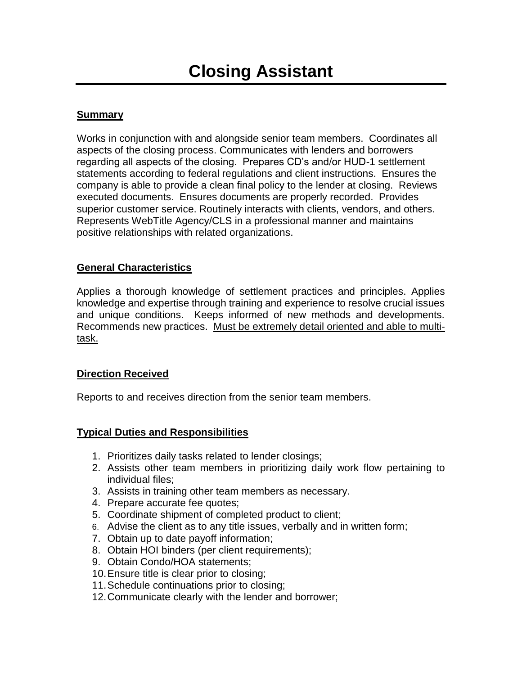# **Summary**

Works in conjunction with and alongside senior team members. Coordinates all aspects of the closing process. Communicates with lenders and borrowers regarding all aspects of the closing. Prepares CD's and/or HUD-1 settlement statements according to federal regulations and client instructions. Ensures the company is able to provide a clean final policy to the lender at closing. Reviews executed documents. Ensures documents are properly recorded. Provides superior customer service. Routinely interacts with clients, vendors, and others. Represents WebTitle Agency/CLS in a professional manner and maintains positive relationships with related organizations.

## **General Characteristics**

Applies a thorough knowledge of settlement practices and principles. Applies knowledge and expertise through training and experience to resolve crucial issues and unique conditions. Keeps informed of new methods and developments. Recommends new practices. Must be extremely detail oriented and able to multitask.

#### **Direction Received**

Reports to and receives direction from the senior team members.

## **Typical Duties and Responsibilities**

- 1. Prioritizes daily tasks related to lender closings;
- 2. Assists other team members in prioritizing daily work flow pertaining to individual files;
- 3. Assists in training other team members as necessary.
- 4. Prepare accurate fee quotes;
- 5. Coordinate shipment of completed product to client;
- 6. Advise the client as to any title issues, verbally and in written form;
- 7. Obtain up to date payoff information;
- 8. Obtain HOI binders (per client requirements);
- 9. Obtain Condo/HOA statements;
- 10.Ensure title is clear prior to closing;
- 11.Schedule continuations prior to closing;
- 12.Communicate clearly with the lender and borrower;